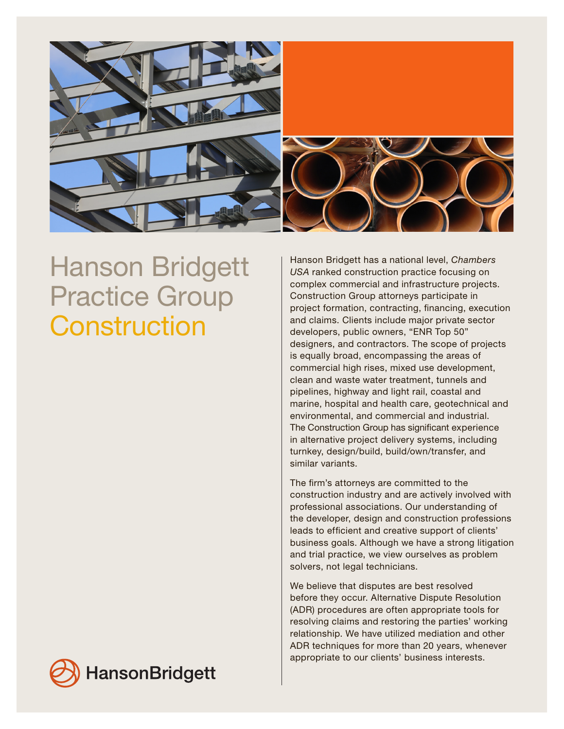

## Hanson Bridgett Practice Group **Construction**

Hanson Bridgett has a national level, *Chambers USA* ranked construction practice focusing on complex commercial and infrastructure projects. Construction Group attorneys participate in project formation, contracting, financing, execution and claims. Clients include major private sector developers, public owners, "ENR Top 50" designers, and contractors. The scope of projects is equally broad, encompassing the areas of commercial high rises, mixed use development, clean and waste water treatment, tunnels and pipelines, highway and light rail, coastal and marine, hospital and health care, geotechnical and environmental, and commercial and industrial. The Construction Group has significant experience in alternative project delivery systems, including turnkey, design/build, build/own/transfer, and similar variants.

The firm's attorneys are committed to the construction industry and are actively involved with professional associations. Our understanding of the developer, design and construction professions leads to efficient and creative support of clients' business goals. Although we have a strong litigation and trial practice, we view ourselves as problem solvers, not legal technicians.

We believe that disputes are best resolved before they occur. Alternative Dispute Resolution (ADR) procedures are often appropriate tools for resolving claims and restoring the parties' working relationship. We have utilized mediation and other ADR techniques for more than 20 years, whenever appropriate to our clients' business interests.